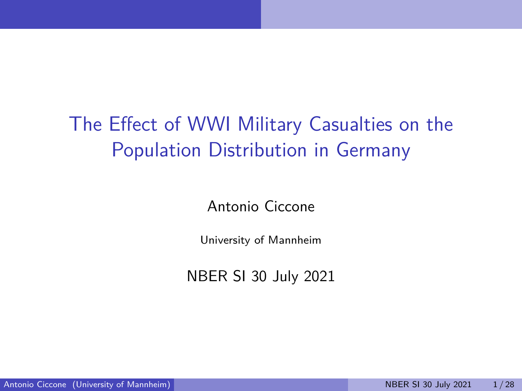## The Effect of WWI Military Casualties on the Population Distribution in Germany

Antonio Ciccone

University of Mannheim

NBER SI 30 July 2021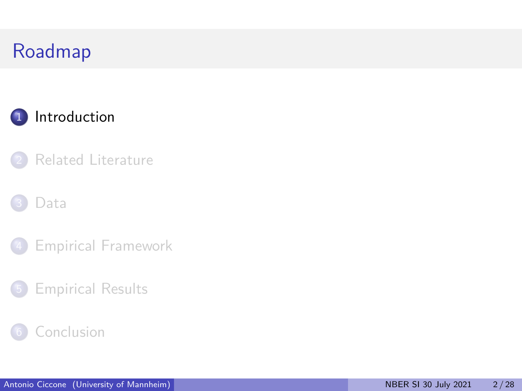<span id="page-1-0"></span>



#### [Data](#page-5-0)

- [Empirical Framework](#page-9-0)
- [Empirical Results](#page-13-0)

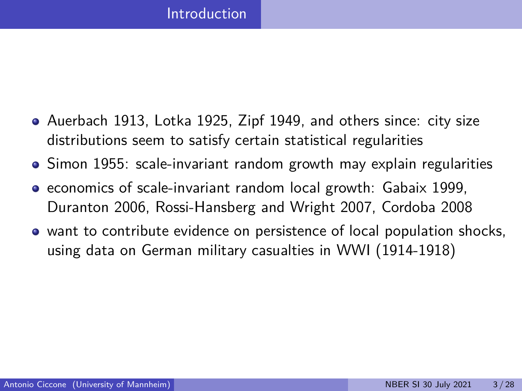- Auerbach 1913, Lotka 1925, Zipf 1949, and others since: city size distributions seem to satisfy certain statistical regularities
- Simon 1955: scale-invariant random growth may explain regularities
- economics of scale-invariant random local growth: Gabaix 1999, Duranton 2006, Rossi-Hansberg and Wright 2007, Cordoba 2008
- want to contribute evidence on persistence of local population shocks, using data on German military casualties in WWI (1914-1918)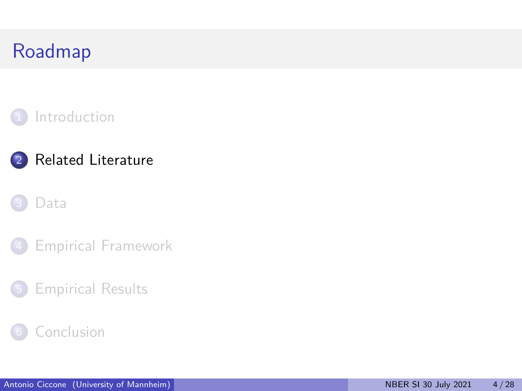<span id="page-3-0"></span>

### 2 [Related Literature](#page-3-0)

#### [Data](#page-5-0)



### 5 [Empirical Results](#page-13-0)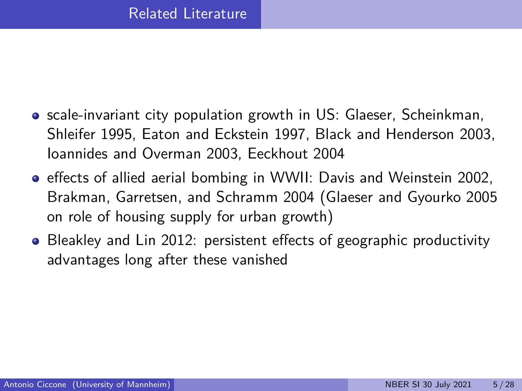- **•** scale-invariant city population growth in US: Glaeser, Scheinkman, Shleifer 1995, Eaton and Eckstein 1997, Black and Henderson 2003, Ioannides and Overman 2003, Eeckhout 2004
- effects of allied aerial bombing in WWII: Davis and Weinstein 2002, Brakman, Garretsen, and Schramm 2004 (Glaeser and Gyourko 2005 on role of housing supply for urban growth)
- Bleakley and Lin 2012: persistent effects of geographic productivity advantages long after these vanished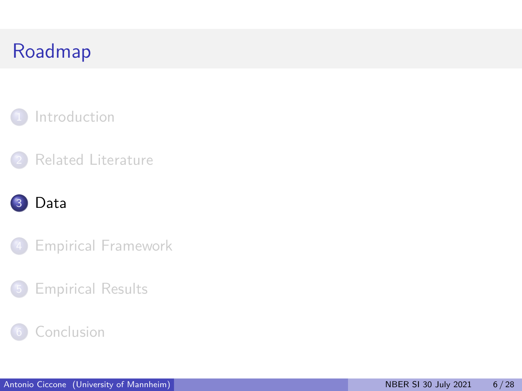<span id="page-5-0"></span>



### [Data](#page-5-0)



### [Empirical Results](#page-13-0)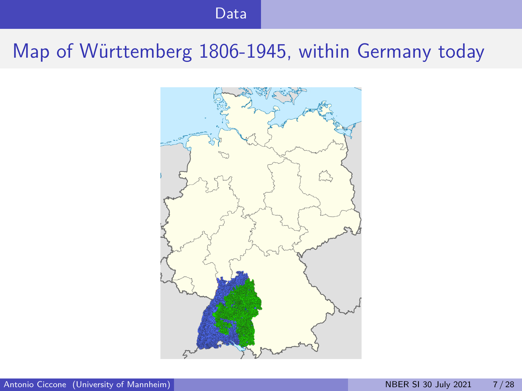#### [Data](#page-5-0)

## Map of Württemberg 1806-1945, within Germany today

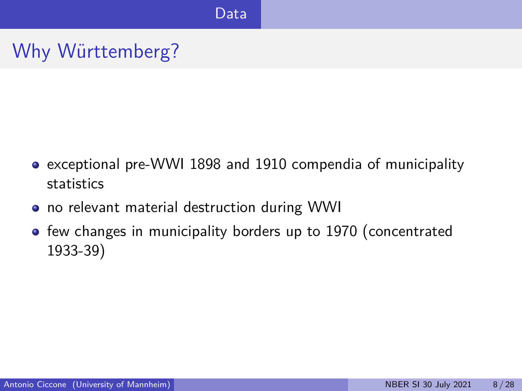Why Württemberg?

- exceptional pre-WWI 1898 and 1910 compendia of municipality statistics
- no relevant material destruction during WWI
- few changes in municipality borders up to 1970 (concentrated 1933-39)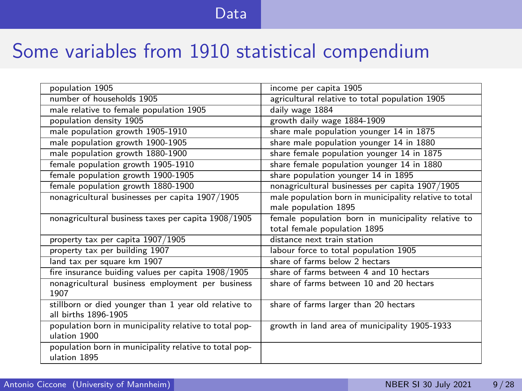#### [Data](#page-5-0)

### Some variables from 1910 statistical compendium

| population 1905                                          | income per capita 1905                                 |
|----------------------------------------------------------|--------------------------------------------------------|
| number of households 1905                                | agricultural relative to total population 1905         |
| male relative to female population 1905                  | daily wage 1884                                        |
| population density 1905                                  | growth daily wage 1884-1909                            |
| male population growth 1905-1910                         | share male population younger 14 in 1875               |
| male population growth 1900-1905                         | share male population younger 14 in 1880               |
| male population growth 1880-1900                         | share female population younger 14 in 1875             |
| female population growth 1905-1910                       | share female population younger 14 in 1880             |
| female population growth 1900-1905                       | share population younger 14 in 1895                    |
| female population growth 1880-1900                       | nonagricultural businesses per capita 1907/1905        |
| nonagricultural businesses per capita 1907/1905          | male population born in municipality relative to total |
|                                                          | male population 1895                                   |
| nonagricultural business taxes per capita 1908/1905      | female population born in municipality relative to     |
|                                                          | total female population 1895                           |
| property tax per capita 1907/1905                        | distance next train station                            |
| property tax per building 1907                           | labour force to total population 1905                  |
| land tax per square km 1907                              | share of farms below 2 hectars                         |
| fire insurance buiding values per capita 1908/1905       | share of farms between 4 and 10 hectars                |
| nonagricultural business employment per business<br>1907 | share of farms between 10 and 20 hectars               |
| stillborn or died younger than 1 year old relative to    | share of farms larger than 20 hectars                  |
| all births 1896-1905                                     |                                                        |
| population born in municipality relative to total pop-   | growth in land area of municipality 1905-1933          |
| ulation 1900                                             |                                                        |
| population born in municipality relative to total pop-   |                                                        |
| ulation 1895                                             |                                                        |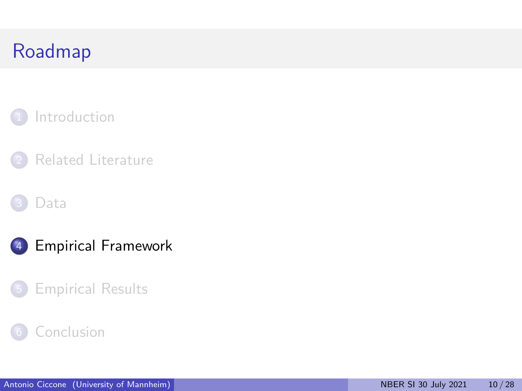<span id="page-9-0"></span>



#### [Data](#page-5-0)





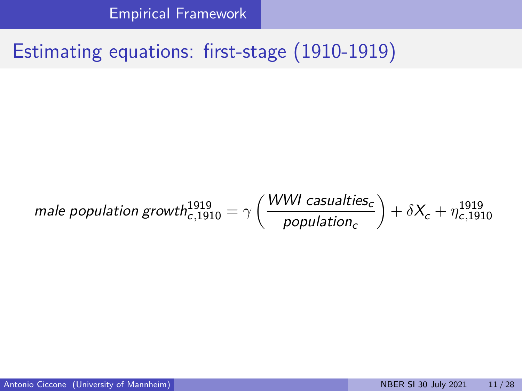[Empirical Framework](#page-9-0)

## Estimating equations: first-stage (1910-1919)

male population growth<sup>1919</sup><sub>c,1910</sub> = 
$$
\gamma \left( \frac{WWI \text{ casualties}_c}{population_c} \right) + \delta X_c + \eta_{c,1910}^{1919}
$$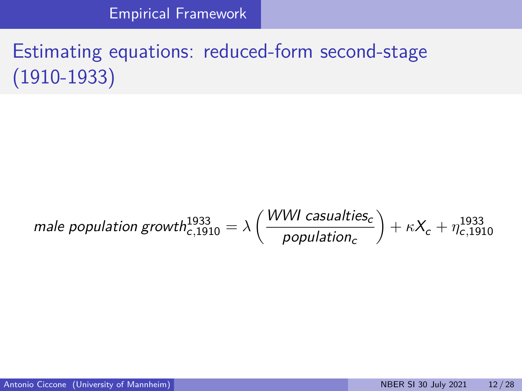[Empirical Framework](#page-9-0)

# Estimating equations: reduced-form second-stage (1910-1933)

#### male population growth $h_{c,1910}^{1933} = \lambda \left( \frac{WWI \; causations} {2}$ population $_{\rm c}$  $+ \kappa X_c + \eta_{c,1910}^{1933}$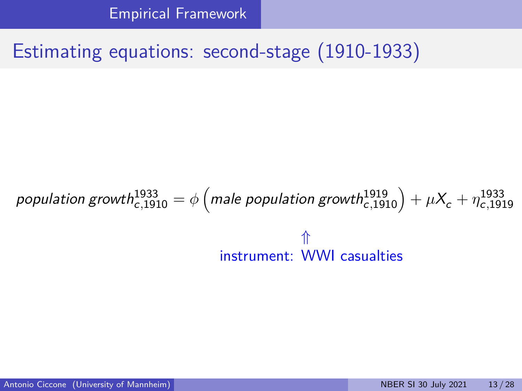[Empirical Framework](#page-9-0)

### Estimating equations: second-stage (1910-1933)

 $p$ opulation growth $_{c,1910}^{1933} = \phi\left(\right.$  (male population growth $_{c,1910}^{1919}\right) + \mu X_c + \eta_{c,1919}^{1933}$ ⇑ instrument: WWI casualties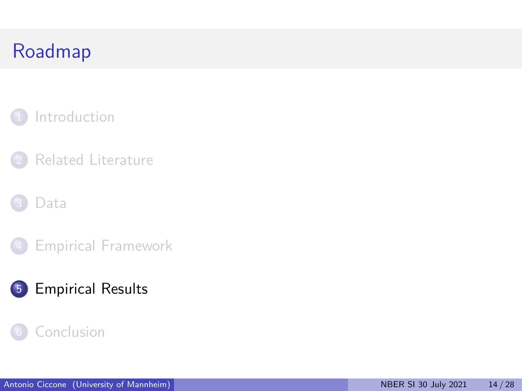<span id="page-13-0"></span>



#### [Data](#page-5-0)



### [Empirical Results](#page-13-0)

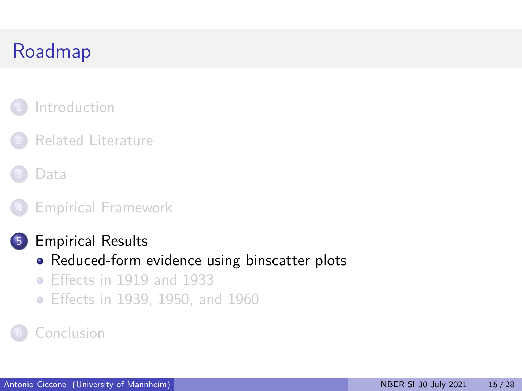### <span id="page-14-0"></span>**[Introduction](#page-1-0)**

### [Related Literature](#page-3-0)



#### 4 [Empirical Framework](#page-9-0)

#### 5 [Empirical Results](#page-13-0)

- [Reduced-form evidence using binscatter plots](#page-14-0)
- [Effects in 1919 and 1933](#page-18-0)
- [Effects in 1939, 1950, and 1960](#page-22-0)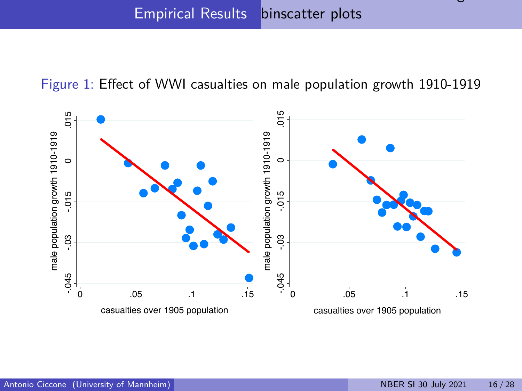[Reduced-form evidence using](#page-14-0)

Figure 1: Effect of WWI casualties on male population growth 1910-1919

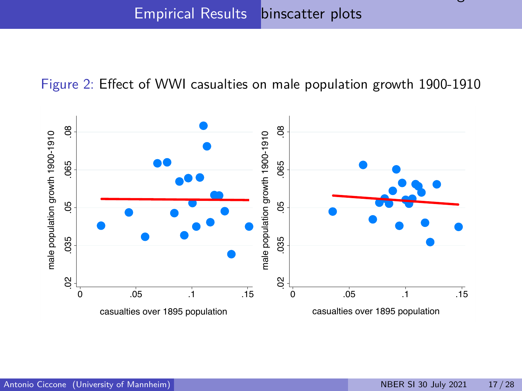[Reduced-form evidence using](#page-14-0)

Figure 2: Effect of WWI casualties on male population growth 1900-1910

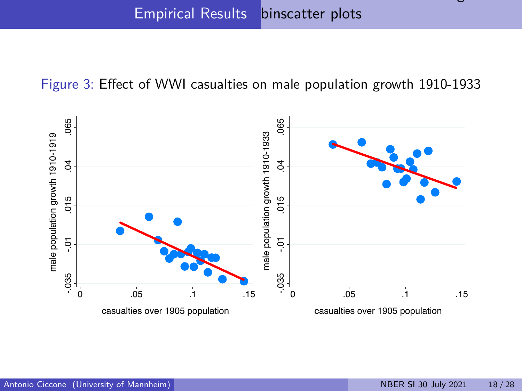[Reduced-form evidence using](#page-14-0)

#### Figure 3: Effect of WWI casualties on male population growth 1910-1933

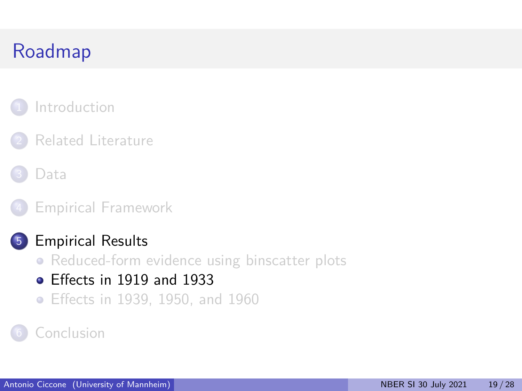### <span id="page-18-0"></span>**[Introduction](#page-1-0)**

### [Related Literature](#page-3-0)



#### 4 [Empirical Framework](#page-9-0)

#### 5 [Empirical Results](#page-13-0)

- [Reduced-form evidence using binscatter plots](#page-14-0)
- [Effects in 1919 and 1933](#page-18-0)
- [Effects in 1939, 1950, and 1960](#page-22-0)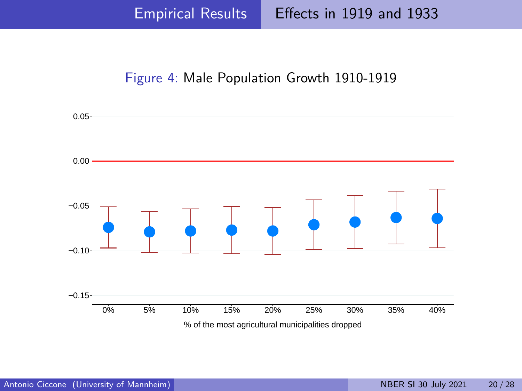Figure 4: Male Population Growth 1910-1919

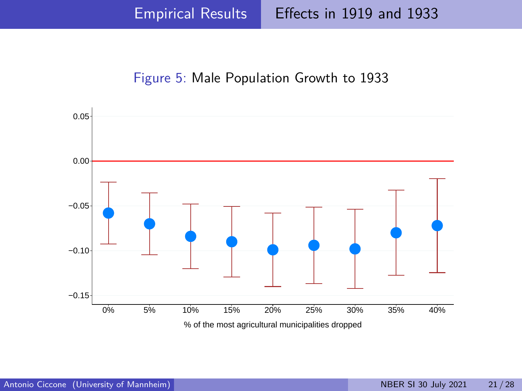Figure 5: Male Population Growth to 1933

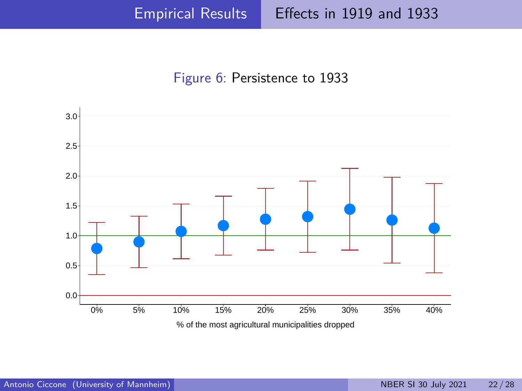#### Figure 6: Persistence to 1933



% of the most agricultural municipalities dropped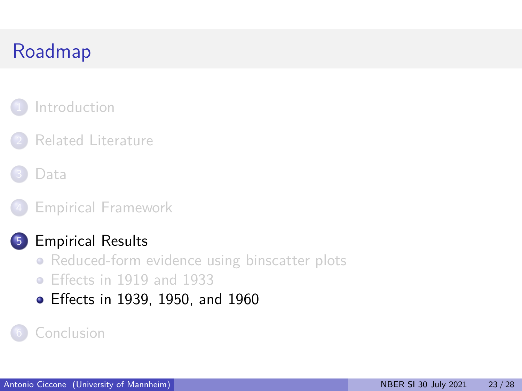### <span id="page-22-0"></span>**[Introduction](#page-1-0)**

### [Related Literature](#page-3-0)

[Data](#page-5-0)

#### 4 [Empirical Framework](#page-9-0)

### 5 [Empirical Results](#page-13-0)

- [Reduced-form evidence using binscatter plots](#page-14-0)
- [Effects in 1919 and 1933](#page-18-0)
- [Effects in 1939, 1950, and 1960](#page-22-0)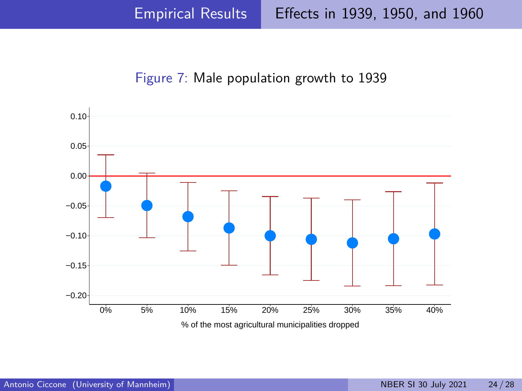#### Figure 7: Male population growth to 1939

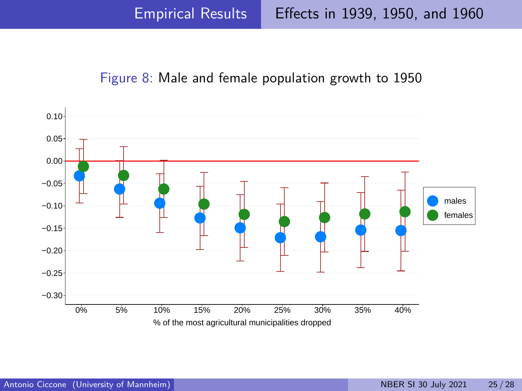Figure 8: Male and female population growth to 1950

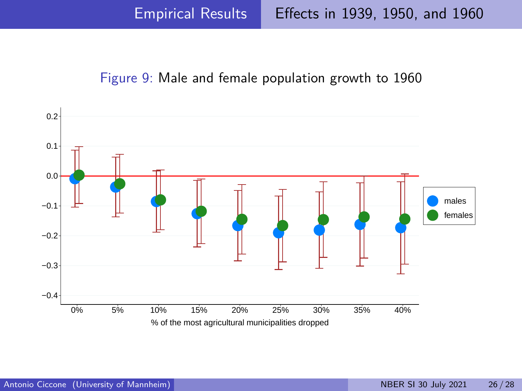#### Figure 9: Male and female population growth to 1960

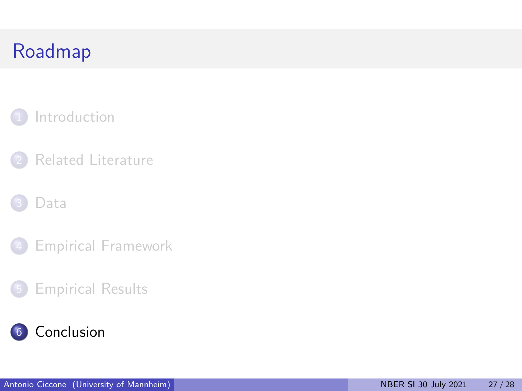### <span id="page-26-0"></span>**[Introduction](#page-1-0)**



#### [Data](#page-5-0)

4 [Empirical Framework](#page-9-0)

### 5 [Empirical Results](#page-13-0)